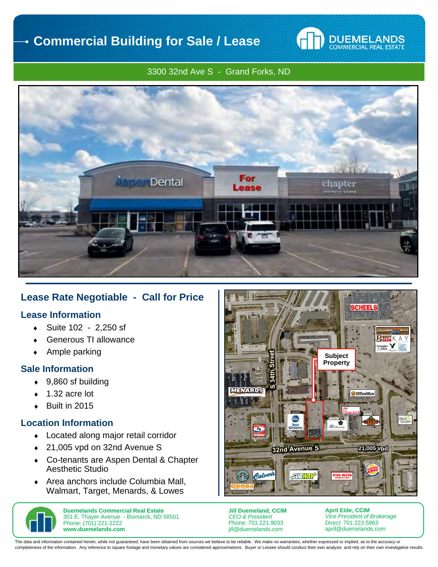

### 3300 32nd Ave S - Grand Forks, ND



# **Lease Rate Negotiable - Call for Price**

## **Lease Information**

- Suite 102 2,250 sf
- Generous TI allowance
- Ample parking

## **Sale Information**

- ◆ 9,860 sf building
- 1.32 acre lot
- $\bullet$  Built in 2015

## **Location Information**

- Located along major retail corridor
- ◆ 21,005 vpd on 32nd Avenue S
- Co-tenants are Aspen Dental & Chapter Aesthetic Studio
- ◆ Area anchors include Columbia Mall. Walmart, Target, Menards, & Lowes



**Duemelands Commercial Real Estate**  301 E. Thayer Avenue - Bismarck, ND 58501 Phone: (701) 221-2222 **www.duemelands.com** 



**Jill Duemeland, CCIM**  *CEO & President*  Phone: 701.221.9033 jill@duemelands.com

**April Eide, CCIM**  *Vice President of Brokerage*  Direct: 701.223.5863 april@duemelands.com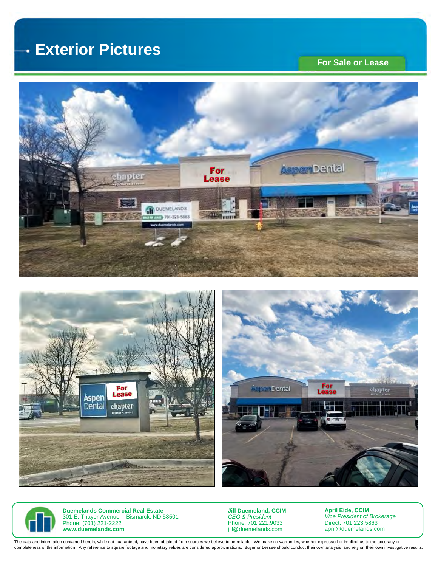#### **Exterior Pictures**  .

## **For Sale or Lease**









**Duemelands Commercial Real Estate**  301 E. Thayer Avenue - Bismarck, ND 58501 Phone: (701) 221-2222 **www.duemelands.com** 

**Jill Duemeland, CCIM**  *CEO & President*  Phone: 701.221.9033 jill@duemelands.com

**April Eide, CCIM**  *Vice President of Brokerage*  Direct: 701.223.5863 april@duemelands.com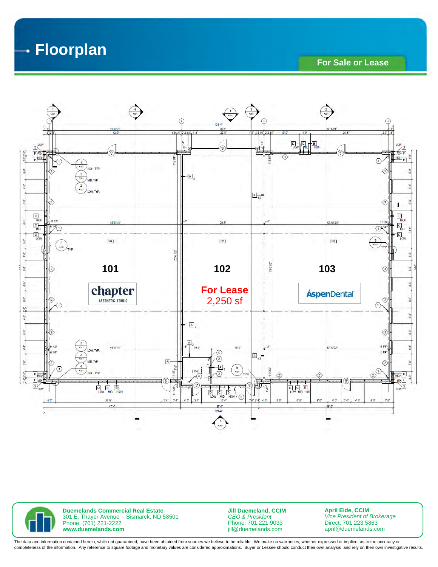**Floorplan**  4

**For Sale or Lease** 



**Duemelands Commercial Real Estate**  301 E. Thayer Avenue - Bismarck, ND 58501 Phone: (701) 221-2222 **www.duemelands.com** 

**Jill Duemeland, CCIM**  *CEO & President*  Phone: 701.221.9033 jill@duemelands.com

**April Eide, CCIM**  *Vice President of Brokerage*  Direct: 701.223.5863 april@duemelands.com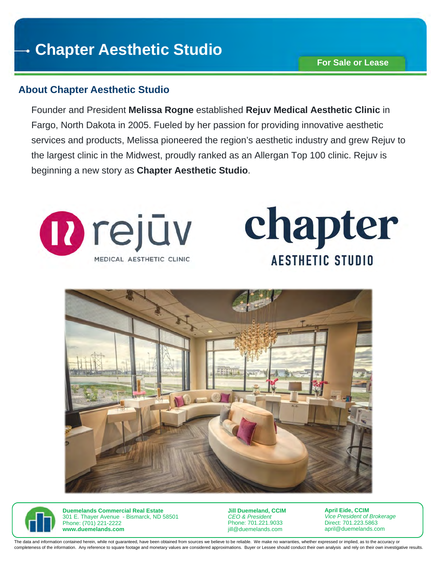# **Chapter Aesthetic Studio**

# **About Chapter Aesthetic Studio**

Founder and President **Melissa Rogne** established **Rejuv Medical Aesthetic Clinic** in Fargo, North Dakota in 2005. Fueled by her passion for providing innovative aesthetic services and products, Melissa pioneered the region's aesthetic industry and grew Rejuv to the largest clinic in the Midwest, proudly ranked as an Allergan Top 100 clinic. Rejuv is beginning a new story as **Chapter Aesthetic Studio**.









**Duemelands Commercial Real Estate**  301 E. Thayer Avenue - Bismarck, ND 58501 Phone: (701) 221-2222 **www.duemelands.com** 

**Jill Duemeland, CCIM**  *CEO & President*  Phone: 701.221.9033 jill@duemelands.com

**April Eide, CCIM**  *Vice President of Brokerage*  Direct: 701.223.5863 april@duemelands.com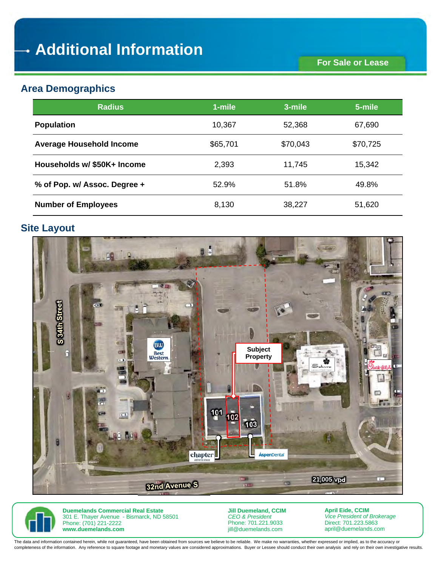# **Area Demographics**

| <b>Radius</b>                   | 1-mile   | 3-mile   | 5-mile   |
|---------------------------------|----------|----------|----------|
| <b>Population</b>               | 10,367   | 52,368   | 67,690   |
| <b>Average Household Income</b> | \$65,701 | \$70,043 | \$70,725 |
| Households w/ \$50K+ Income     | 2,393    | 11,745   | 15,342   |
| % of Pop. w/ Assoc. Degree +    | 52.9%    | 51.8%    | 49.8%    |
| <b>Number of Employees</b>      | 8,130    | 38,227   | 51,620   |

# **Site Layout**





**Duemelands Commercial Real Estate**  301 E. Thayer Avenue - Bismarck, ND 58501 Phone: (701) 221-2222 **www.duemelands.com** 

**Jill Duemeland, CCIM**  *CEO & President*  Phone: 701.221.9033 jill@duemelands.com

**April Eide, CCIM**  *Vice President of Brokerage*  Direct: 701.223.5863 april@duemelands.com